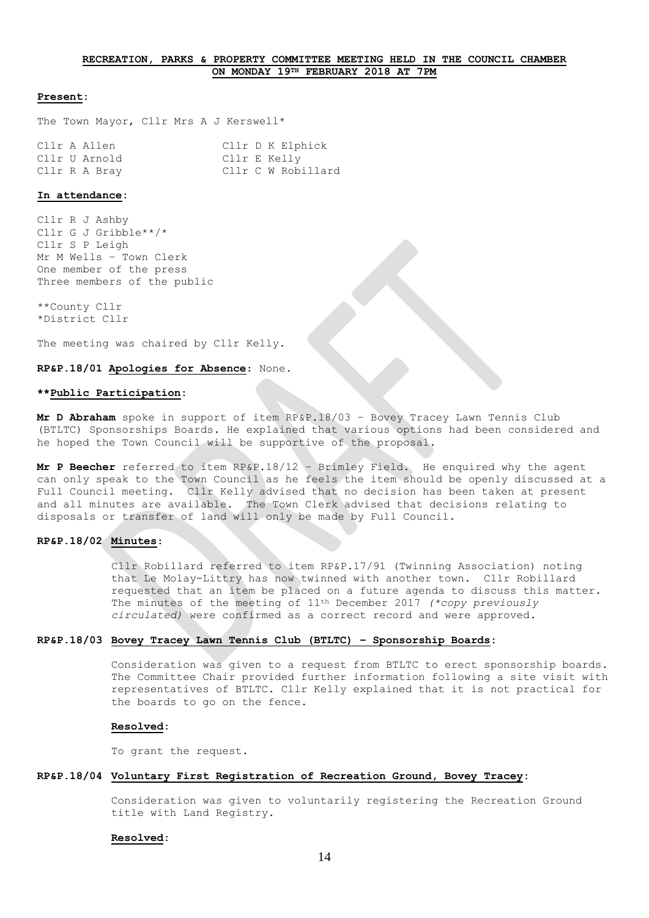# **RECREATION, PARKS & PROPERTY COMMITTEE MEETING HELD IN THE COUNCIL CHAMBER ON MONDAY 19TH FEBRUARY 2018 AT 7PM**

### **Present:**

The Town Mayor, Cllr Mrs A J Kerswell\*

|  | Cllr A Allen  |  | Cllr D K Elphick   |
|--|---------------|--|--------------------|
|  | Cllr U Arnold |  | Cllr E Kelly       |
|  | Cllr R A Bray |  | Cllr C W Robillard |

# **In attendance:**

Cllr R J Ashby Cllr G J Gribble\*\*/\* Cllr S P Leigh Mr M Wells – Town Clerk One member of the press Three members of the public

\*\*County Cllr \*District Cllr

The meeting was chaired by Cllr Kelly.

**RP&P.18/01 Apologies for Absence**: None.

# **\*\*Public Participation:**

**Mr D Abraham** spoke in support of item RP&P.18/03 – Bovey Tracey Lawn Tennis Club (BTLTC) Sponsorships Boards. He explained that various options had been considered and he hoped the Town Council will be supportive of the proposal.

**Mr P Beecher** referred to item RP&P.18/12 – Brimley Field. He enquired why the agent can only speak to the Town Council as he feels the item should be openly discussed at a Full Council meeting. Cllr Kelly advised that no decision has been taken at present and all minutes are available. The Town Clerk advised that decisions relating to disposals or transfer of land will only be made by Full Council.

# **RP&P.18/02 Minutes**:

Cllr Robillard referred to item RP&P.17/91 (Twinning Association) noting that Le Molay-Littry has now twinned with another town. Cllr Robillard requested that an item be placed on a future agenda to discuss this matter. The minutes of the meeting of 11th December 2017 *(\*copy previously circulated)* were confirmed as a correct record and were approved.

# **RP&P.18/03 Bovey Tracey Lawn Tennis Club (BTLTC) – Sponsorship Boards:**

Consideration was given to a request from BTLTC to erect sponsorship boards. The Committee Chair provided further information following a site visit with representatives of BTLTC. Cllr Kelly explained that it is not practical for the boards to go on the fence.

# **Resolved:**

To grant the request.

### **RP&P.18/04 Voluntary First Registration of Recreation Ground, Bovey Tracey:**

Consideration was given to voluntarily registering the Recreation Ground title with Land Registry.

### **Resolved:**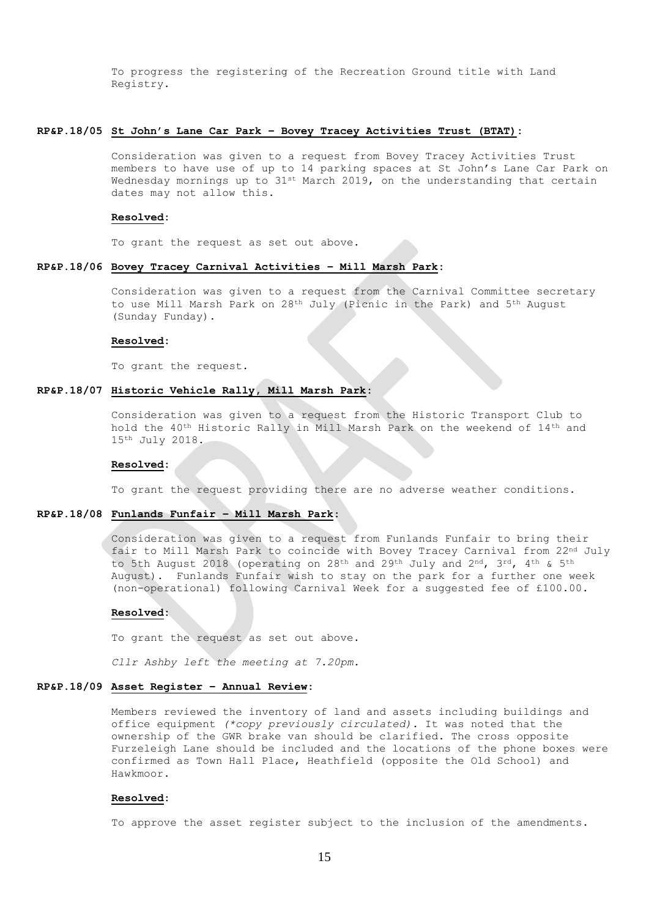To progress the registering of the Recreation Ground title with Land Registry.

### **RP&P.18/05 St John's Lane Car Park – Bovey Tracey Activities Trust (BTAT):**

Consideration was given to a request from Bovey Tracey Activities Trust members to have use of up to 14 parking spaces at St John's Lane Car Park on Wednesday mornings up to  $31$ <sup>st</sup> March 2019, on the understanding that certain dates may not allow this.

### **Resolved:**

To grant the request as set out above.

# **RP&P.18/06 Bovey Tracey Carnival Activities – Mill Marsh Park:**

Consideration was given to a request from the Carnival Committee secretary to use Mill Marsh Park on 28th July (Picnic in the Park) and 5th August (Sunday Funday).

### **Resolved:**

To grant the request.

# **RP&P.18/07 Historic Vehicle Rally, Mill Marsh Park:**

Consideration was given to a request from the Historic Transport Club to hold the 40th Historic Rally in Mill Marsh Park on the weekend of 14th and 15th July 2018.

#### **Resolved:**

To grant the request providing there are no adverse weather conditions.

# **RP&P.18/08 Funlands Funfair – Mill Marsh Park:**

Consideration was given to a request from Funlands Funfair to bring their fair to Mill Marsh Park to coincide with Bovey Tracey Carnival from 22nd July to 5th August 2018 (operating on 28th and 29th July and 2nd, 3rd, 4th & 5th August). Funlands Funfair wish to stay on the park for a further one week (non-operational) following Carnival Week for a suggested fee of £100.00.

## **Resolved:**

To grant the request as set out above.

*Cllr Ashby left the meeting at 7.20pm.*

# **RP&P.18/09 Asset Register – Annual Review:**

Members reviewed the inventory of land and assets including buildings and office equipment *(\*copy previously circulated).* It was noted that the ownership of the GWR brake van should be clarified. The cross opposite Furzeleigh Lane should be included and the locations of the phone boxes were confirmed as Town Hall Place, Heathfield (opposite the Old School) and Hawkmoor.

#### **Resolved:**

To approve the asset register subject to the inclusion of the amendments.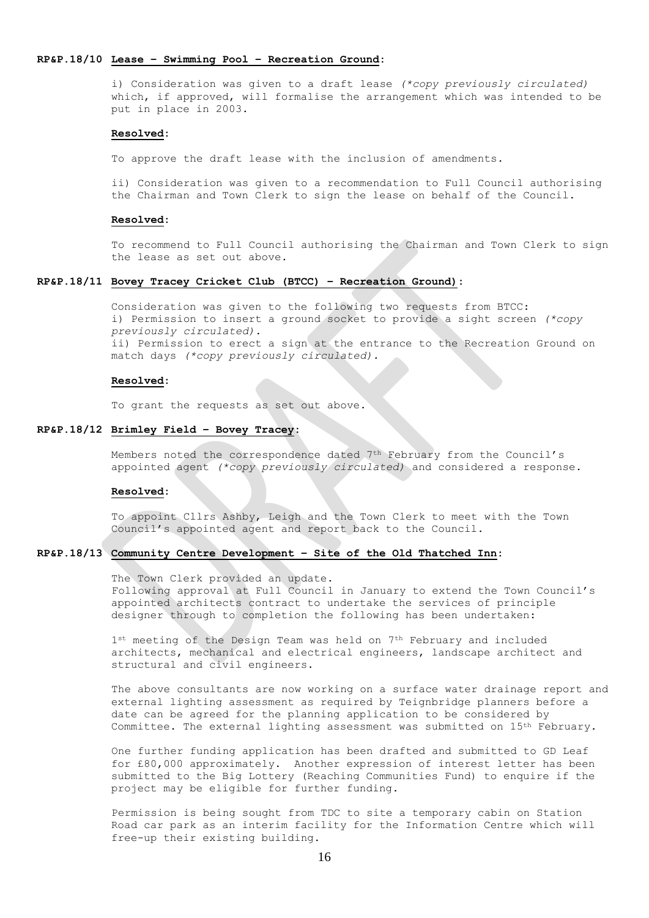## **RP&P.18/10 Lease – Swimming Pool – Recreation Ground:**

i) Consideration was given to a draft lease *(\*copy previously circulated)* which, if approved, will formalise the arrangement which was intended to be put in place in 2003.

#### **Resolved:**

To approve the draft lease with the inclusion of amendments.

ii) Consideration was given to a recommendation to Full Council authorising the Chairman and Town Clerk to sign the lease on behalf of the Council.

# **Resolved:**

To recommend to Full Council authorising the Chairman and Town Clerk to sign the lease as set out above.

# **RP&P.18/11 Bovey Tracey Cricket Club (BTCC) – Recreation Ground):**

Consideration was given to the following two requests from BTCC: i) Permission to insert a ground socket to provide a sight screen *(\*copy previously circulated).* ii) Permission to erect a sign at the entrance to the Recreation Ground on match days *(\*copy previously circulated).*

#### **Resolved:**

To grant the requests as set out above.

## **RP&P.18/12 Brimley Field – Bovey Tracey:**

Members noted the correspondence dated 7th February from the Council's appointed agent *(\*copy previously circulated)* and considered a response.

#### **Resolved:**

To appoint Cllrs Ashby, Leigh and the Town Clerk to meet with the Town Council's appointed agent and report back to the Council.

# **RP&P.18/13 Community Centre Development – Site of the Old Thatched Inn:**

The Town Clerk provided an update. Following approval at Full Council in January to extend the Town Council's appointed architects contract to undertake the services of principle designer through to completion the following has been undertaken:

1<sup>st</sup> meeting of the Design Team was held on 7<sup>th</sup> February and included architects, mechanical and electrical engineers, landscape architect and structural and civil engineers.

The above consultants are now working on a surface water drainage report and external lighting assessment as required by Teignbridge planners before a date can be agreed for the planning application to be considered by Committee. The external lighting assessment was submitted on 15th February.

One further funding application has been drafted and submitted to GD Leaf for £80,000 approximately. Another expression of interest letter has been submitted to the Big Lottery (Reaching Communities Fund) to enquire if the project may be eligible for further funding.

Permission is being sought from TDC to site a temporary cabin on Station Road car park as an interim facility for the Information Centre which will free-up their existing building.